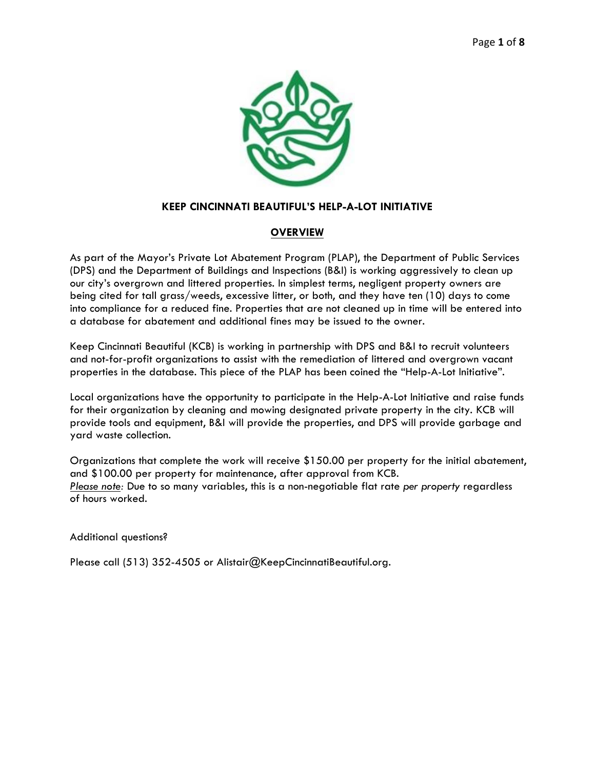

## **KEEP CINCINNATI BEAUTIFUL'S HELP-A-LOT INITIATIVE**

## **OVERVIEW**

As part of the Mayor's Private Lot Abatement Program (PLAP), the Department of Public Services (DPS) and the Department of Buildings and Inspections (B&I) is working aggressively to clean up our city's overgrown and littered properties. In simplest terms, negligent property owners are being cited for tall grass/weeds, excessive litter, or both, and they have ten (10) days to come into compliance for a reduced fine. Properties that are not cleaned up in time will be entered into a database for abatement and additional fines may be issued to the owner.

Keep Cincinnati Beautiful (KCB) is working in partnership with DPS and B&I to recruit volunteers and not-for-profit organizations to assist with the remediation of littered and overgrown vacant properties in the database. This piece of the PLAP has been coined the "Help-A-Lot Initiative".

Local organizations have the opportunity to participate in the Help-A-Lot Initiative and raise funds for their organization by cleaning and mowing designated private property in the city. KCB will provide tools and equipment, B&I will provide the properties, and DPS will provide garbage and yard waste collection.

Organizations that complete the work will receive \$150.00 per property for the initial abatement, and \$100.00 per property for maintenance, after approval from KCB. *Please note:* Due to so many variables, this is a non-negotiable flat rate *per property* regardless of hours worked.

Additional questions?

Please call (513) 352-4505 or Alistair@KeepCincinnatiBeautiful.org.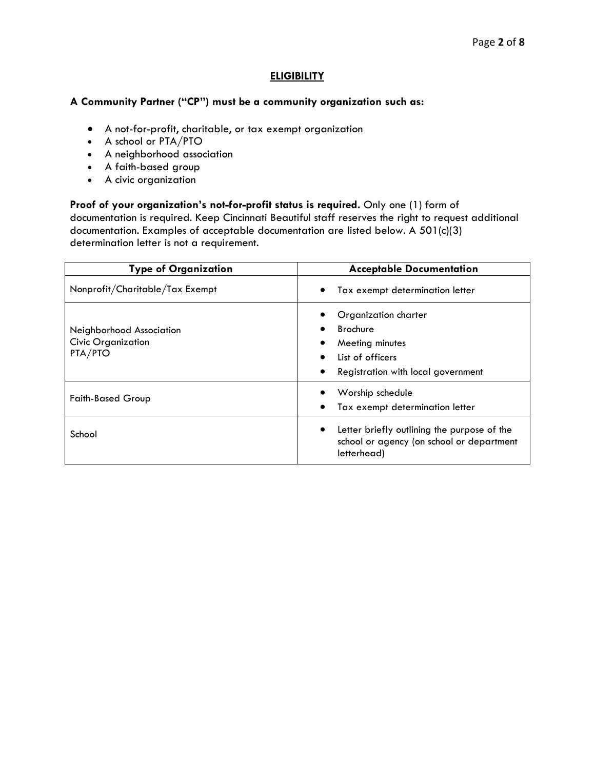## **ELIGIBILITY**

## **A Community Partner ("CP") must be a community organization such as:**

- A not-for-profit, charitable, or tax exempt organization
- A school or PTA/PTO
- A neighborhood association
- A faith-based group
- A civic organization

## **Proof of your organization's not-for-profit status is required.** Only one (1) form of

documentation is required. Keep Cincinnati Beautiful staff reserves the right to request additional documentation. Examples of acceptable documentation are listed below. A 501(c)(3) determination letter is not a requirement.

| <b>Type of Organization</b>                                      | <b>Acceptable Documentation</b>                                                                                                   |  |
|------------------------------------------------------------------|-----------------------------------------------------------------------------------------------------------------------------------|--|
| Nonprofit/Charitable/Tax Exempt                                  | Tax exempt determination letter                                                                                                   |  |
| Neighborhood Association<br><b>Civic Organization</b><br>PTA/PTO | Organization charter<br><b>Brochure</b><br>Meeting minutes<br>List of officers<br>$\bullet$<br>Registration with local government |  |
| <b>Faith-Based Group</b>                                         | Worship schedule<br>Tax exempt determination letter                                                                               |  |
| School                                                           | Letter briefly outlining the purpose of the<br>$\bullet$<br>school or agency (on school or department<br>letterhead)              |  |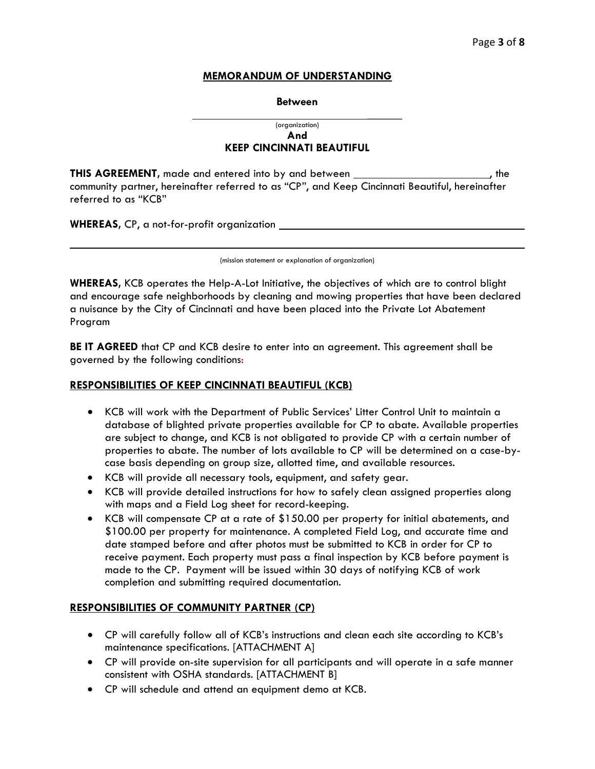#### **MEMORANDUM OF UNDERSTANDING**

#### **Between**

#### **\_\_\_\_\_\_** (organization) **And KEEP CINCINNATI BEAUTIFUL**

**THIS AGREEMENT**, made and entered into by and between , the state of the state of the state and the state of the community partner, hereinafter referred to as "CP", and Keep Cincinnati Beautiful, hereinafter referred to as "KCB"

**WHEREAS,** CP, a not-for-profit organization

(mission statement or explanation of organization)

**WHEREAS,** KCB operates the Help-A-Lot Initiative, the objectives of which are to control blight and encourage safe neighborhoods by cleaning and mowing properties that have been declared a nuisance by the City of Cincinnati and have been placed into the Private Lot Abatement Program

**BE IT AGREED** that CP and KCB desire to enter into an agreement. This agreement shall be governed by the following conditions:

## **RESPONSIBILITIES OF KEEP CINCINNATI BEAUTIFUL (KCB)**

- KCB will work with the Department of Public Services' Litter Control Unit to maintain a database of blighted private properties available for CP to abate. Available properties are subject to change, and KCB is not obligated to provide CP with a certain number of properties to abate. The number of lots available to CP will be determined on a case-bycase basis depending on group size, allotted time, and available resources.
- KCB will provide all necessary tools, equipment, and safety gear.
- KCB will provide detailed instructions for how to safely clean assigned properties along with maps and a Field Log sheet for record-keeping.
- KCB will compensate CP at a rate of \$150.00 per property for initial abatements, and \$100.00 per property for maintenance. A completed Field Log, and accurate time and date stamped before and after photos must be submitted to KCB in order for CP to receive payment. Each property must pass a final inspection by KCB before payment is made to the CP. Payment will be issued within 30 days of notifying KCB of work completion and submitting required documentation.

## **RESPONSIBILITIES OF COMMUNITY PARTNER (CP)**

- CP will carefully follow all of KCB's instructions and clean each site according to KCB's maintenance specifications. [ATTACHMENT A]
- CP will provide on-site supervision for all participants and will operate in a safe manner consistent with OSHA standards. [ATTACHMENT B]
- CP will schedule and attend an equipment demo at KCB.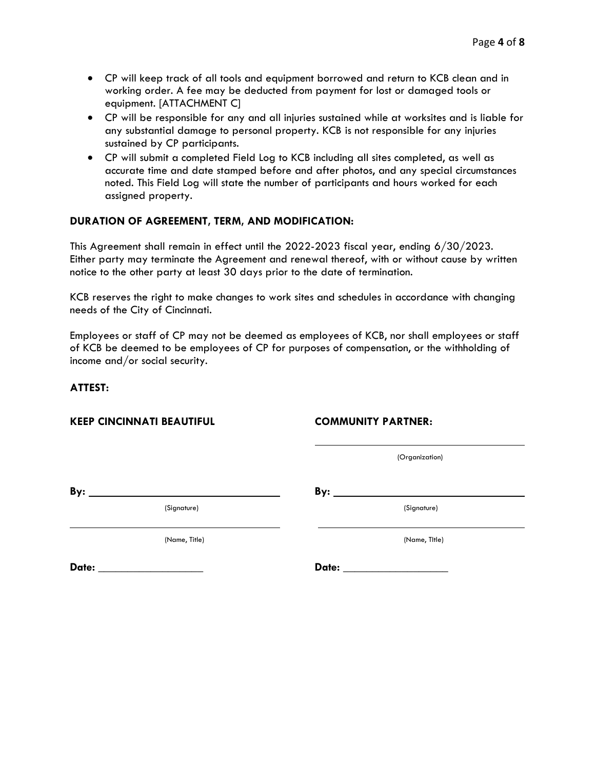- CP will keep track of all tools and equipment borrowed and return to KCB clean and in working order. A fee may be deducted from payment for lost or damaged tools or equipment. [ATTACHMENT C]
- CP will be responsible for any and all injuries sustained while at worksites and is liable for any substantial damage to personal property. KCB is not responsible for any injuries sustained by CP participants.
- CP will submit a completed Field Log to KCB including all sites completed, as well as accurate time and date stamped before and after photos, and any special circumstances noted. This Field Log will state the number of participants and hours worked for each assigned property.

# **DURATION OF AGREEMENT, TERM, AND MODIFICATION:**

This Agreement shall remain in effect until the 2022-2023 fiscal year, ending 6/30/2023. Either party may terminate the Agreement and renewal thereof, with or without cause by written notice to the other party at least 30 days prior to the date of termination.

KCB reserves the right to make changes to work sites and schedules in accordance with changing needs of the City of Cincinnati.

Employees or staff of CP may not be deemed as employees of KCB, nor shall employees or staff of KCB be deemed to be employees of CP for purposes of compensation, or the withholding of income and/or social security.

## **ATTEST:**

#### **KEEP CINCINNATI BEAUTIFUL COMMUNITY PARTNER:**

(Organization)

**By: By:** 

(Signature) (Signature)

(Name, Title) (Name, TItle)

**Date:** \_\_\_\_\_\_\_\_\_\_\_\_\_\_\_\_\_\_ **Date:** \_\_\_\_\_\_\_\_\_\_\_\_\_\_\_\_\_\_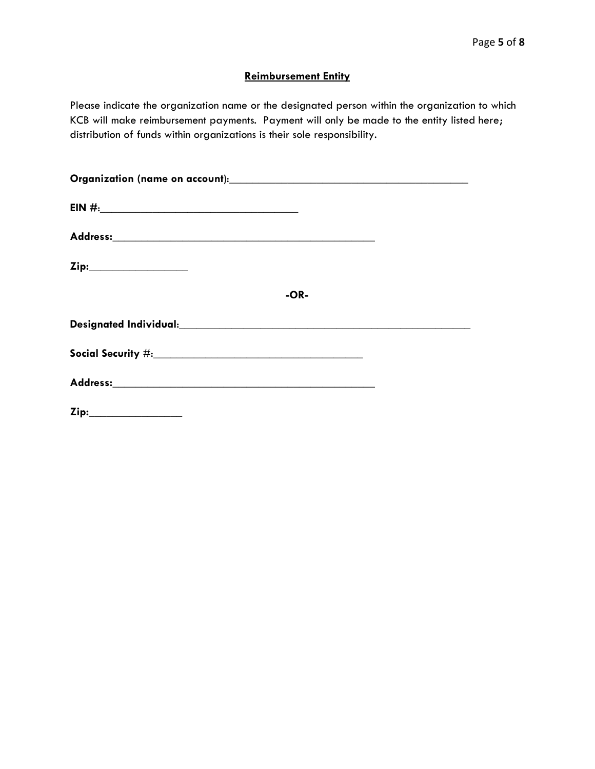# **Reimbursement Entity**

Please indicate the organization name or the designated person within the organization to which KCB will make reimbursement payments. Payment will only be made to the entity listed here; distribution of funds within organizations is their sole responsibility.

| Zip:____________________ |        |  |
|--------------------------|--------|--|
|                          | $-OR-$ |  |
|                          |        |  |
|                          |        |  |
|                          |        |  |
| Zip:___________________  |        |  |
|                          |        |  |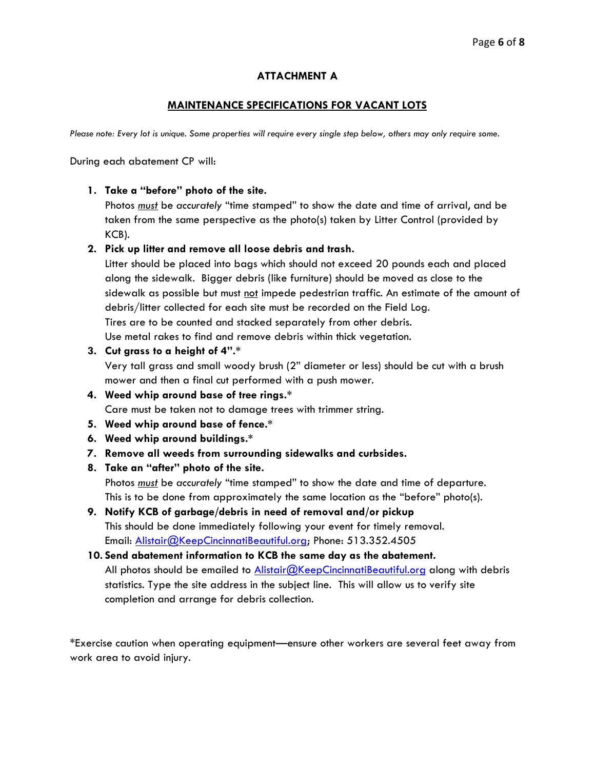# **ATTACHMENT A**

## **MAINTENANCE SPECIFICATIONS FOR VACANT LOTS**

*Please note: Every lot is unique. Some properties will require every single step below, others may only require some.* 

During each abatement CP will:

## **1. Take a "before" photo of the site.**

Photos *must* be *accurately* "time stamped" to show the date and time of arrival, and be taken from the same perspective as the photo(s) taken by Litter Control (provided by KCB).

## **2. Pick up litter and remove all loose debris and trash.**

Litter should be placed into bags which should not exceed 20 pounds each and placed along the sidewalk. Bigger debris (like furniture) should be moved as close to the sidewalk as possible but must not impede pedestrian traffic. An estimate of the amount of debris/litter collected for each site must be recorded on the Field Log. Tires are to be counted and stacked separately from other debris. Use metal rakes to find and remove debris within thick vegetation.

## **3. Cut grass to a height of 4".\***

Very tall grass and small woody brush (2" diameter or less) should be cut with a brush mower and then a final cut performed with a push mower.

- **4. Weed whip around base of tree rings.\*** Care must be taken not to damage trees with trimmer string.
- **5. Weed whip around base of fence.\***
- **6. Weed whip around buildings.\***
- **7. Remove all weeds from surrounding sidewalks and curbsides.**
- **8. Take an "after" photo of the site.** Photos *must* be *accurately* "time stamped" to show the date and time of departure. This is to be done from approximately the same location as the "before" photo(s).
- **9. Notify KCB of garbage/debris in need of removal and/or pickup** This should be done immediately following your event for timely removal. Email: [Alistair@KeepCincinnatiBeautiful.org;](mailto:Alistair@KeepCincinnatiBeautiful.org) Phone: 513.352.4505

**10. Send abatement information to KCB the same day as the abatement.** All photos should be emailed to **Alistair@KeepCincinnatiBeautiful.org** along with debris statistics. Type the site address in the subject line. This will allow us to verify site completion and arrange for debris collection.

\*Exercise caution when operating equipment—ensure other workers are several feet away from work area to avoid injury.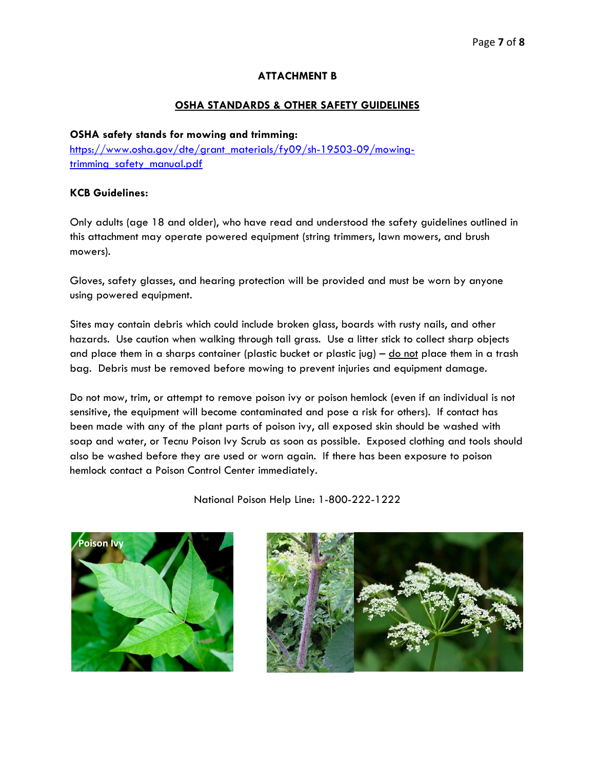# **ATTACHMENT B**

# **OSHA STANDARDS & OTHER SAFETY GUIDELINES**

## **OSHA safety stands for mowing and trimming:**

[https://www.osha.gov/dte/grant\\_materials/fy09/sh-19503-09/mowing](https://www.osha.gov/dte/grant_materials/fy09/sh-19503-09/mowing-trimming_safety_manual.pdf)[trimming\\_safety\\_manual.pdf](https://www.osha.gov/dte/grant_materials/fy09/sh-19503-09/mowing-trimming_safety_manual.pdf)

## **KCB Guidelines:**

Only adults (age 18 and older), who have read and understood the safety guidelines outlined in this attachment may operate powered equipment (string trimmers, lawn mowers, and brush mowers).

Gloves, safety glasses, and hearing protection will be provided and must be worn by anyone using powered equipment.

Sites may contain debris which could include broken glass, boards with rusty nails, and other hazards. Use caution when walking through tall grass. Use a litter stick to collect sharp objects and place them in a sharps container (plastic bucket or plastic jug) –  $\underline{do}$  not place them in a trash bag. Debris must be removed before mowing to prevent injuries and equipment damage.

Do not mow, trim, or attempt to remove poison ivy or poison hemlock (even if an individual is not sensitive, the equipment will become contaminated and pose a risk for others). If contact has been made with any of the plant parts of poison ivy, all exposed skin should be washed with soap and water, or Tecnu Poison Ivy Scrub as soon as possible. Exposed clothing and tools should also be washed before they are used or worn again. If there has been exposure to poison hemlock contact a Poison Control Center immediately.

National Poison Help Line: 1-800-222-1222